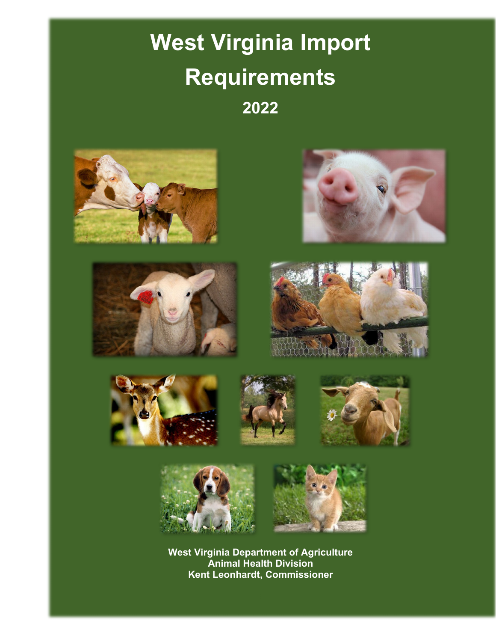# **West Virginia Import Requirements 2022**



















**West Virginia Department of Agriculture Animal Health Division Kent Leonhardt, Commissioner**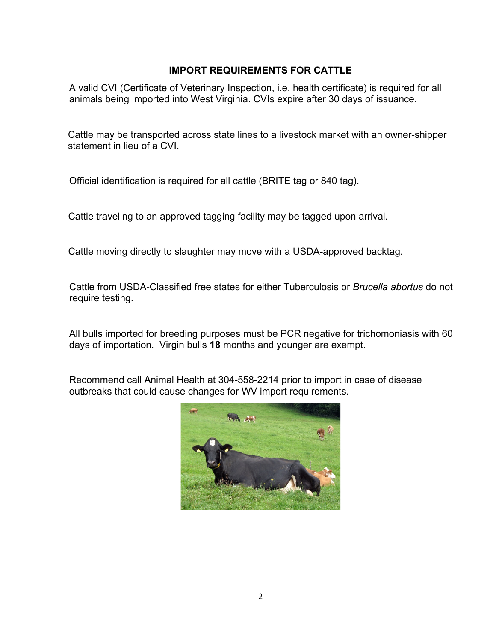## **IMPORT REQUIREMENTS FOR CATTLE**

A valid CVI (Certificate of Veterinary Inspection, i.e. health certificate) is required for all animals being imported into West Virginia. CVIs expire after 30 days of issuance.

Cattle may be transported across state lines to a livestock market with an owner-shipper statement in lieu of a CVI.

Official identification is required for all cattle (BRITE tag or 840 tag).

Cattle traveling to an approved tagging facility may be tagged upon arrival.

Cattle moving directly to slaughter may move with a USDA-approved backtag.

Cattle from USDA-Classified free states for either Tuberculosis or *Brucella abortus* do not require testing.

All bulls imported for breeding purposes must be PCR negative for trichomoniasis with 60 days of importation. Virgin bulls **18** months and younger are exempt.

Recommend call Animal Health at 304-558-2214 prior to import in case of disease outbreaks that could cause changes for WV import requirements.

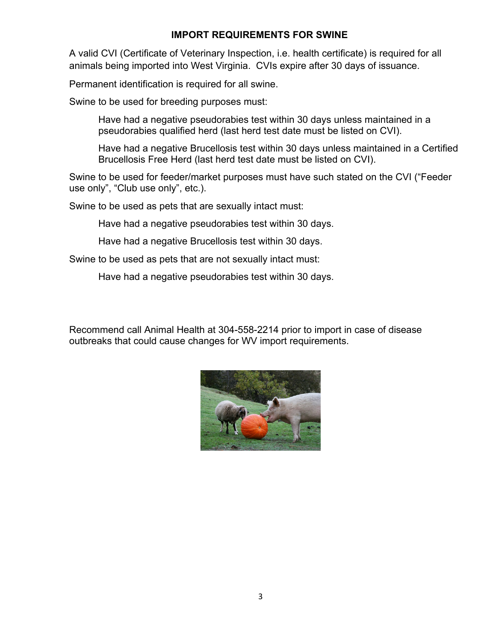#### **IMPORT REQUIREMENTS FOR SWINE**

A valid CVI (Certificate of Veterinary Inspection, i.e. health certificate) is required for all animals being imported into West Virginia. CVIs expire after 30 days of issuance.

Permanent identification is required for all swine.

Swine to be used for breeding purposes must:

Have had a negative pseudorabies test within 30 days unless maintained in a pseudorabies qualified herd (last herd test date must be listed on CVI).

Have had a negative Brucellosis test within 30 days unless maintained in a Certified Brucellosis Free Herd (last herd test date must be listed on CVI).

Swine to be used for feeder/market purposes must have such stated on the CVI ("Feeder use only", "Club use only", etc.).

Swine to be used as pets that are sexually intact must:

Have had a negative pseudorabies test within 30 days.

Have had a negative Brucellosis test within 30 days.

Swine to be used as pets that are not sexually intact must:

Have had a negative pseudorabies test within 30 days.

Recommend call Animal Health at 304-558-2214 prior to import in case of disease outbreaks that could cause changes for WV import requirements.

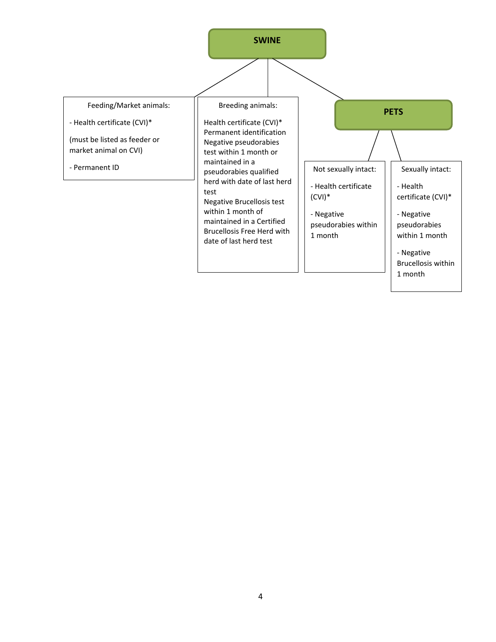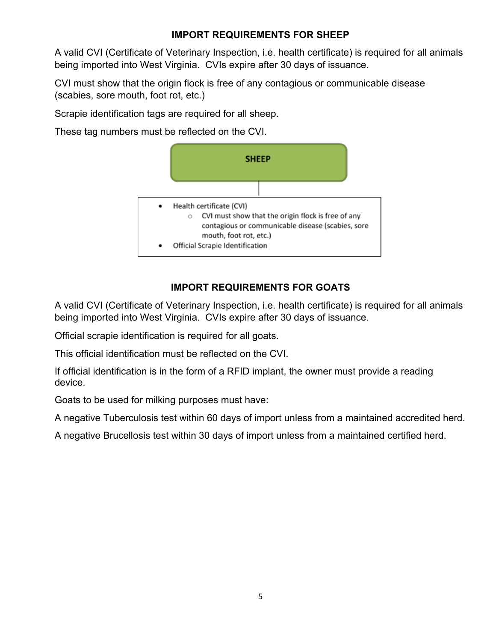# **IMPORT REQUIREMENTS FOR SHEEP**

A valid CVI (Certificate of Veterinary Inspection, i.e. health certificate) is required for all animals being imported into West Virginia. CVIs expire after 30 days of issuance.

CVI must show that the origin flock is free of any contagious or communicable disease (scabies, sore mouth, foot rot, etc.)

Scrapie identification tags are required for all sheep.

These tag numbers must be reflected on the CVI.



# **IMPORT REQUIREMENTS FOR GOATS**

A valid CVI (Certificate of Veterinary Inspection, i.e. health certificate) is required for all animals being imported into West Virginia. CVIs expire after 30 days of issuance.

Official scrapie identification is required for all goats.

This official identification must be reflected on the CVI.

If official identification is in the form of a RFID implant, the owner must provide a reading device.

Goats to be used for milking purposes must have:

A negative Tuberculosis test within 60 days of import unless from a maintained accredited herd.

A negative Brucellosis test within 30 days of import unless from a maintained certified herd.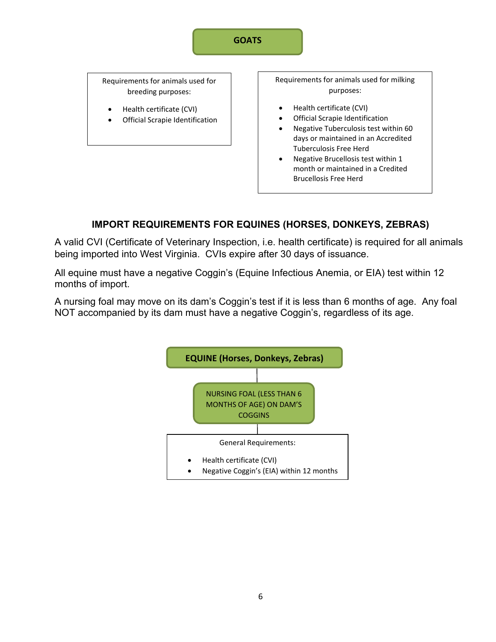#### **GOATS**

Requirements for animals used for breeding purposes:

- Health certificate (CVI)
- Official Scrapie Identification

Requirements for animals used for milking purposes:

- Health certificate (CVI)
- Official Scrapie Identification
- Negative Tuberculosis test within 60 days or maintained in an Accredited Tuberculosis Free Herd
- Negative Brucellosis test within 1 month or maintained in a Credited Brucellosis Free Herd

# **IMPORT REQUIREMENTS FOR EQUINES (HORSES, DONKEYS, ZEBRAS)**

A valid CVI (Certificate of Veterinary Inspection, i.e. health certificate) is required for all animals being imported into West Virginia. CVIs expire after 30 days of issuance.

All equine must have a negative Coggin's (Equine Infectious Anemia, or EIA) test within 12 months of import.

A nursing foal may move on its dam's Coggin's test if it is less than 6 months of age. Any foal NOT accompanied by its dam must have a negative Coggin's, regardless of its age.

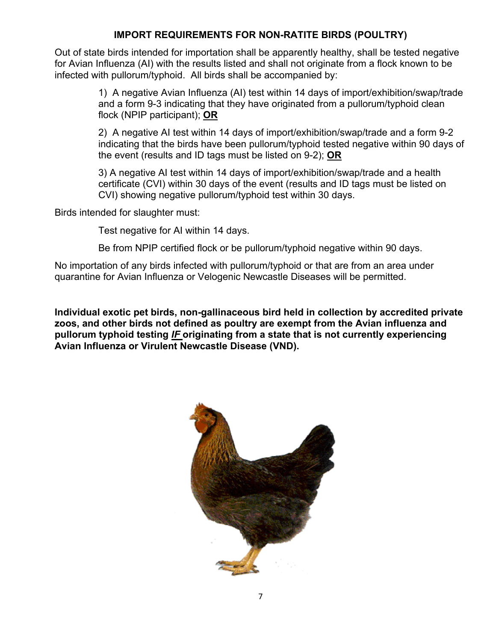### **IMPORT REQUIREMENTS FOR NON-RATITE BIRDS (POULTRY)**

Out of state birds intended for importation shall be apparently healthy, shall be tested negative for Avian Influenza (AI) with the results listed and shall not originate from a flock known to be infected with pullorum/typhoid. All birds shall be accompanied by:

> 1) A negative Avian Influenza (AI) test within 14 days of import/exhibition/swap/trade and a form 9-3 indicating that they have originated from a pullorum/typhoid clean flock (NPIP participant); **OR**

> 2) A negative AI test within 14 days of import/exhibition/swap/trade and a form 9-2 indicating that the birds have been pullorum/typhoid tested negative within 90 days of the event (results and ID tags must be listed on 9-2); **OR**

3) A negative AI test within 14 days of import/exhibition/swap/trade and a health certificate (CVI) within 30 days of the event (results and ID tags must be listed on CVI) showing negative pullorum/typhoid test within 30 days.

Birds intended for slaughter must:

Test negative for AI within 14 days.

Be from NPIP certified flock or be pullorum/typhoid negative within 90 days.

No importation of any birds infected with pullorum/typhoid or that are from an area under quarantine for Avian Influenza or Velogenic Newcastle Diseases will be permitted.

**Individual exotic pet birds, non-gallinaceous bird held in collection by accredited private zoos, and other birds not defined as poultry are exempt from the Avian influenza and pullorum typhoid testing** *IF* **originating from a state that is not currently experiencing Avian Influenza or Virulent Newcastle Disease (VND).** 

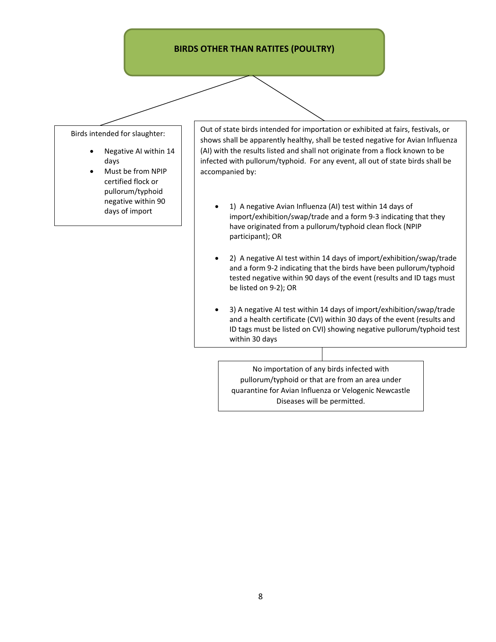#### **BIRDS OTHER THAN RATITES (POULTRY)**

Birds intended for slaughter:

- Negative AI within 14 days
- Must be from NPIP certified flock or pullorum/typhoid negative within 90 days of import

Out of state birds intended for importation or exhibited at fairs, festivals, or shows shall be apparently healthy, shall be tested negative for Avian Influenza (AI) with the results listed and shall not originate from a flock known to be infected with pullorum/typhoid. For any event, all out of state birds shall be accompanied by:

- 1) A negative Avian Influenza (AI) test within 14 days of import/exhibition/swap/trade and a form 9-3 indicating that they have originated from a pullorum/typhoid clean flock (NPIP participant); OR
- 2) A negative AI test within 14 days of import/exhibition/swap/trade and a form 9-2 indicating that the birds have been pullorum/typhoid tested negative within 90 days of the event (results and ID tags must be listed on 9-2); OR
- 3) A negative AI test within 14 days of import/exhibition/swap/trade and a health certificate (CVI) within 30 days of the event (results and ID tags must be listed on CVI) showing negative pullorum/typhoid test within 30 days

No importation of any birds infected with pullorum/typhoid or that are from an area under quarantine for Avian Influenza or Velogenic Newcastle Diseases will be permitted.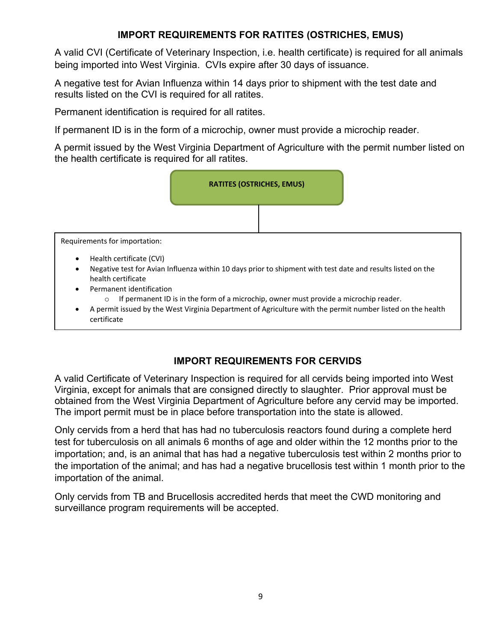# **IMPORT REQUIREMENTS FOR RATITES (OSTRICHES, EMUS)**

A valid CVI (Certificate of Veterinary Inspection, i.e. health certificate) is required for all animals being imported into West Virginia. CVIs expire after 30 days of issuance.

A negative test for Avian Influenza within 14 days prior to shipment with the test date and results listed on the CVI is required for all ratites.

Permanent identification is required for all ratites.

If permanent ID is in the form of a microchip, owner must provide a microchip reader.

A permit issued by the West Virginia Department of Agriculture with the permit number listed on the health certificate is required for all ratites.



• A permit issued by the West Virginia Department of Agriculture with the permit number listed on the health certificate

## **IMPORT REQUIREMENTS FOR CERVIDS**

A valid Certificate of Veterinary Inspection is required for all cervids being imported into West Virginia, except for animals that are consigned directly to slaughter. Prior approval must be obtained from the West Virginia Department of Agriculture before any cervid may be imported. The import permit must be in place before transportation into the state is allowed.

Only cervids from a herd that has had no tuberculosis reactors found during a complete herd test for tuberculosis on all animals 6 months of age and older within the 12 months prior to the importation; and, is an animal that has had a negative tuberculosis test within 2 months prior to the importation of the animal; and has had a negative brucellosis test within 1 month prior to the importation of the animal.

Only cervids from TB and Brucellosis accredited herds that meet the CWD monitoring and surveillance program requirements will be accepted.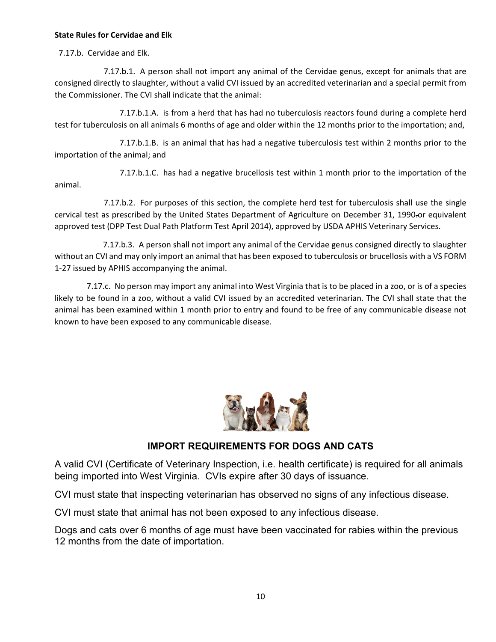#### **State Rules for Cervidae and Elk**

7.17.b. Cervidae and Elk.

 7.17.b.1. A person shall not import any animal of the Cervidae genus, except for animals that are consigned directly to slaughter, without a valid CVI issued by an accredited veterinarian and a special permit from the Commissioner. The CVI shall indicate that the animal:

 7.17.b.1.A. is from a herd that has had no tuberculosis reactors found during a complete herd test for tuberculosis on all animals 6 months of age and older within the 12 months prior to the importation; and,

 7.17.b.1.B. is an animal that has had a negative tuberculosis test within 2 months prior to the importation of the animal; and

 7.17.b.1.C. has had a negative brucellosis test within 1 month prior to the importation of the animal.

 7.17.b.2. For purposes of this section, the complete herd test for tuberculosis shall use the single cervical test as prescribed by the United States Department of Agriculture on December 31, 1990-or equivalent approved test (DPP Test Dual Path Platform Test April 2014), approved by USDA APHIS Veterinary Services.

 7.17.b.3. A person shall not import any animal of the Cervidae genus consigned directly to slaughter without an CVI and may only import an animal that has been exposed to tuberculosis or brucellosis with a VS FORM 1-27 issued by APHIS accompanying the animal.

 7.17.c. No person may import any animal into West Virginia that is to be placed in a zoo, or is of a species likely to be found in a zoo, without a valid CVI issued by an accredited veterinarian. The CVI shall state that the animal has been examined within 1 month prior to entry and found to be free of any communicable disease not known to have been exposed to any communicable disease.



## **IMPORT REQUIREMENTS FOR DOGS AND CATS**

A valid CVI (Certificate of Veterinary Inspection, i.e. health certificate) is required for all animals being imported into West Virginia. CVIs expire after 30 days of issuance.

CVI must state that inspecting veterinarian has observed no signs of any infectious disease.

CVI must state that animal has not been exposed to any infectious disease.

Dogs and cats over 6 months of age must have been vaccinated for rabies within the previous 12 months from the date of importation.